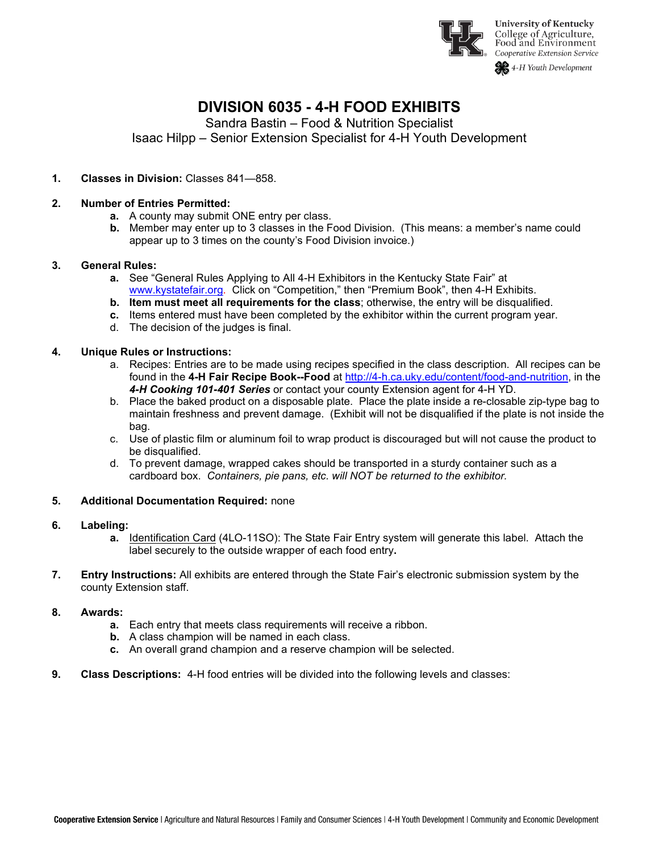

#### **DIVISION 6035 - 4-H FOOD EXHIBITS**

Sandra Bastin – Food & Nutrition Specialist Isaac Hilpp – Senior Extension Specialist for 4-H Youth Development

#### **1. Classes in Division:** Classes 841—858.

#### **2. Number of Entries Permitted:**

- **a.** A county may submit ONE entry per class.
- **b.** Member may enter up to 3 classes in the Food Division. (This means: a member's name could appear up to 3 times on the county's Food Division invoice.)

#### **3. General Rules:**

- **a.** See "General Rules Applying to All 4-H Exhibitors in the Kentucky State Fair" at [www.kystatefair.org.](http://www.kystatefair.org/) Click on "Competition," then "Premium Book", then 4-H Exhibits.
- **b. Item must meet all requirements for the class**; otherwise, the entry will be disqualified.
- **c.** Items entered must have been completed by the exhibitor within the current program year.
- d. The decision of the judges is final.

#### **4. Unique Rules or Instructions:**

- a. Recipes: Entries are to be made using recipes specified in the class description. All recipes can be found in the **4-H Fair Recipe Book--Food** at [http://4-h.ca.uky.edu/content/food-and-nutrition,](http://4-h.ca.uky.edu/content/food-and-nutrition) in the *4-H Cooking 101-401 Series* or contact your county Extension agent for 4-H YD.
- b. Place the baked product on a disposable plate. Place the plate inside a re-closable zip-type bag to maintain freshness and prevent damage. (Exhibit will not be disqualified if the plate is not inside the bag.
- c. Use of plastic film or aluminum foil to wrap product is discouraged but will not cause the product to be disqualified.
- d. To prevent damage, wrapped cakes should be transported in a sturdy container such as a cardboard box. *Containers, pie pans, etc. will NOT be returned to the exhibitor.*

#### **5. Additional Documentation Required:** none

#### **6. Labeling:**

- **a.** Identification Card (4LO-11SO): The State Fair Entry system will generate this label.Attach the label securely to the outside wrapper of each food entry**.**
- **7. Entry Instructions:** All exhibits are entered through the State Fair's electronic submission system by the county Extension staff.

#### **8. Awards:**

- **a.** Each entry that meets class requirements will receive a ribbon.
- **b.** A class champion will be named in each class.
- **c.** An overall grand champion and a reserve champion will be selected.
- **9. Class Descriptions:** 4-H food entries will be divided into the following levels and classes: